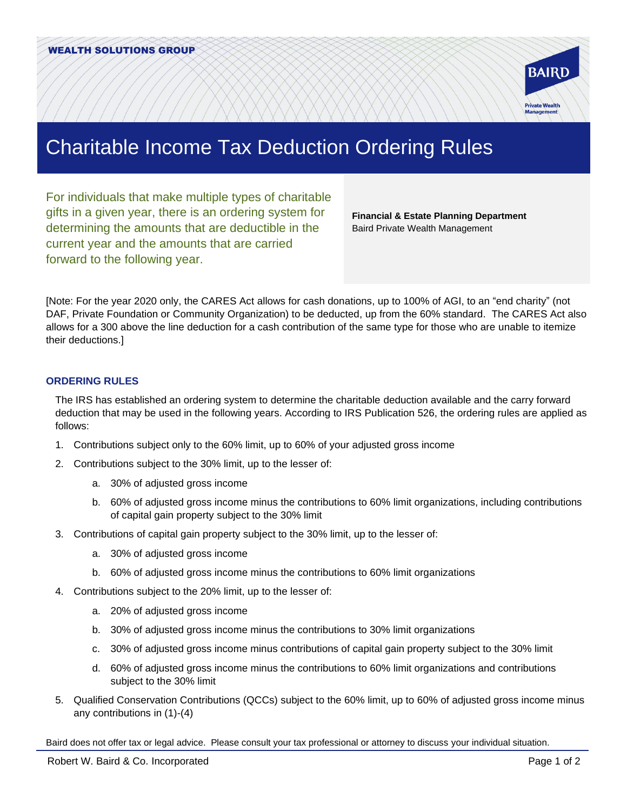

## Charitable Income Tax Deduction Ordering Rules

For individuals that make multiple types of charitable gifts in a given year, there is an ordering system for determining the amounts that are deductible in the current year and the amounts that are carried forward to the following year.

**Financial & Estate Planning Department**  Baird Private Wealth Management

[Note: For the year 2020 only, the CARES Act allows for cash donations, up to 100% of AGI, to an "end charity" (not DAF, Private Foundation or Community Organization) to be deducted, up from the 60% standard. The CARES Act also allows for a 300 above the line deduction for a cash contribution of the same type for those who are unable to itemize their deductions.]

## **ORDERING RULES**

The IRS has established an ordering system to determine the charitable deduction available and the carry forward deduction that may be used in the following years. According to IRS Publication 526, the ordering rules are applied as follows:

- 1. Contributions subject only to the 60% limit, up to 60% of your adjusted gross income
- 2. Contributions subject to the 30% limit, up to the lesser of:
	- a. 30% of adjusted gross income
	- b. 60% of adjusted gross income minus the contributions to 60% limit organizations, including contributions of capital gain property subject to the 30% limit
- 3. Contributions of capital gain property subject to the 30% limit, up to the lesser of:
	- a. 30% of adjusted gross income
	- b. 60% of adjusted gross income minus the contributions to 60% limit organizations
- 4. Contributions subject to the 20% limit, up to the lesser of:
	- a. 20% of adjusted gross income
	- b. 30% of adjusted gross income minus the contributions to 30% limit organizations
	- c. 30% of adjusted gross income minus contributions of capital gain property subject to the 30% limit
	- d. 60% of adjusted gross income minus the contributions to 60% limit organizations and contributions subject to the 30% limit
- 5. Qualified Conservation Contributions (QCCs) subject to the 60% limit, up to 60% of adjusted gross income minus any contributions in (1)-(4)

Baird does not offer tax or legal advice. Please consult your tax professional or attorney to discuss your individual situation.